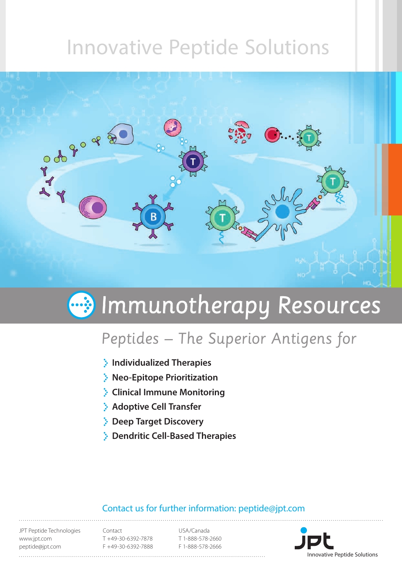# Innovative Peptide Solutions



# Immunotherapy Resources

# Peptides – The Superior Antigens for

- **Individualized Therapies**
- **Neo-Epitope Prioritization**
- **Clinical Immune Monitoring**
- **Adoptive Cell Transfer**
- **Deep Target Discovery**
- **Dendritic Cell-Based Therapies**

### Contact us for further information: peptide@jpt.com

JPT Peptide Technologies www.jpt.com peptide@jpt.com

Contact T +49-30-6392-7878 F +49-30-6392-7888

USA/Canada T 1-888-578-2660 F 1-888-578-2666

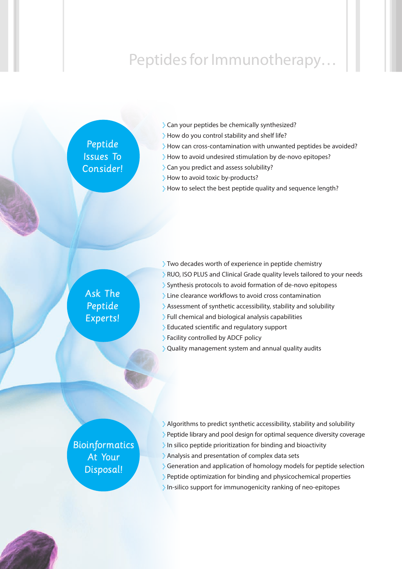# Peptides for Immunotherapy…

### Peptide Issues To Consider!

- Can your peptides be chemically synthesized?
- How do you control stability and shelf life?
- How can cross-contamination with unwanted peptides be avoided?
- How to avoid undesired stimulation by de-novo epitopes?
- Can you predict and assess solubility?
- How to avoid toxic by-products?
- How to select the best peptide quality and sequence length?

### Ask The Peptide Experts!

- Two decades worth of experience in peptide chemistry
- RUO, ISO PLUS and Clinical Grade quality levels tailored to your needs
- Synthesis protocols to avoid formation of de-novo epitopess
- **Example 2** Line clearance workflows to avoid cross contamination
- Assessment of synthetic accessibility, stability and solubility
- Full chemical and biological analysis capabilities
- Educated scientific and regulatory support
- Facility controlled by ADCF policy
- \* Quality management system and annual quality audits

### **Bioinformatics** At Your Disposal!

- $\cdot$  Algorithms to predict synthetic accessibility, stability and solubility
- $\cdot$  Peptide library and pool design for optimal sequence diversity coverage
- In silico peptide prioritization for binding and bioactivity
- Analysis and presentation of complex data sets
- Generation and application of homology models for peptide selection
- Peptide optimization for binding and physicochemical properties
- In-silico support for immunogenicity ranking of neo-epitopes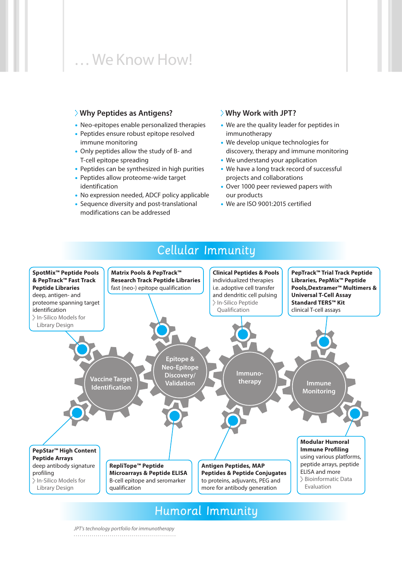## … We Know How!

#### **Why Peptides as Antigens?**

- Neo-epitopes enable personalized therapies
- Peptides ensure robust epitope resolved immune monitoring
- Only peptides allow the study of B- and T-cell epitope spreading
- Peptides can be synthesized in high purities
- Peptides allow proteome-wide target identification
- No expression needed, ADCF policy applicable
- Sequence diversity and post-translational modifications can be addressed

#### **Why Work with JPT?**

- We are the quality leader for peptides in immunotherapy
- We develop unique technologies for discovery, therapy and immune monitoring
- We understand your application
- We have a long track record of successful projects and collaborations
- Over 1000 peer reviewed papers with our products
- We are ISO 9001:2015 certified



Humoral Immunity

### Cellular Immunity